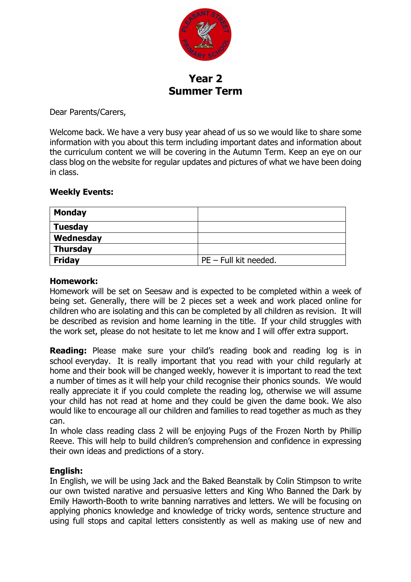

**Year 2 Summer Term**

Dear Parents/Carers,

Welcome back. We have a very busy year ahead of us so we would like to share some information with you about this term including important dates and information about the curriculum content we will be covering in the Autumn Term. Keep an eye on our class blog on the website for regular updates and pictures of what we have been doing in class.

### **Weekly Events:**

| <b>Monday</b>  |                         |
|----------------|-------------------------|
| <b>Tuesday</b> |                         |
| Wednesday      |                         |
| Thursday       |                         |
| <b>Friday</b>  | $PE$ – Full kit needed. |

### **Homework:**

Homework will be set on Seesaw and is expected to be completed within a week of being set. Generally, there will be 2 pieces set a week and work placed online for children who are isolating and this can be completed by all children as revision. It will be described as revision and home learning in the title. If your child struggles with the work set, please do not hesitate to let me know and I will offer extra support.

**Reading:** Please make sure your child's reading book and reading log is in school everyday. It is really important that you read with your child regularly at home and their book will be changed weekly, however it is important to read the text a number of times as it will help your child recognise their phonics sounds. We would really appreciate it if you could complete the reading log, otherwise we will assume your child has not read at home and they could be given the dame book. We also would like to encourage all our children and families to read together as much as they can.

In whole class reading class 2 will be enjoying Pugs of the Frozen North by Phillip Reeve. This will help to build children's comprehension and confidence in expressing their own ideas and predictions of a story.

# **English:**

In English, we will be using Jack and the Baked Beanstalk by Colin Stimpson to write our own twisted narative and persuasive letters and King Who Banned the Dark by Emily Haworth-Booth to write banning narratives and letters. We will be focusing on applying phonics knowledge and knowledge of tricky words, sentence structure and using full stops and capital letters consistently as well as making use of new and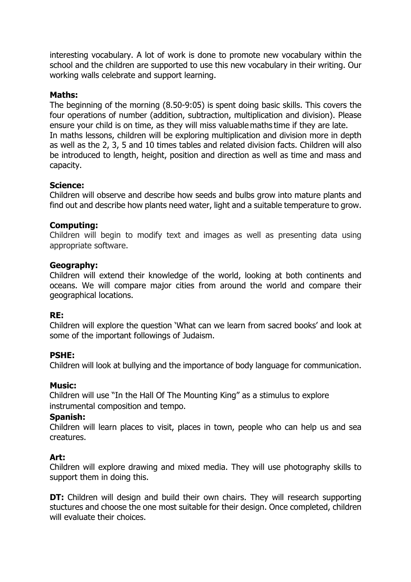interesting vocabulary. A lot of work is done to promote new vocabulary within the school and the children are supported to use this new vocabulary in their writing. Our working walls celebrate and support learning.

## **Maths:**

The beginning of the morning (8.50-9:05) is spent doing basic skills. This covers the four operations of number (addition, subtraction, multiplication and division). Please ensure your child is on time, as they will miss valuable maths time if they are late.  In maths lessons, children will be exploring multiplication and division more in depth as well as the 2, 3, 5 and 10 times tables and related division facts. Children will also be introduced to length, height, position and direction as well as time and mass and capacity.

### **Science:**

Children will observe and describe how seeds and bulbs grow into mature plants and find out and describe how plants need water, light and a suitable temperature to grow.

### **Computing:**

Children will begin to modify text and images as well as presenting data using appropriate software.

### **Geography:**

Children will extend their knowledge of the world, looking at both continents and oceans. We will compare major cities from around the world and compare their geographical locations.

### **RE:**

Children will explore the question 'What can we learn from sacred books' and look at some of the important followings of Judaism.

### **PSHE:**

Children will look at bullying and the importance of body language for communication.

### **Music:**

Children will use "In the Hall Of The Mounting King" as a stimulus to explore instrumental composition and tempo.

### **Spanish:**

Children will learn places to visit, places in town, people who can help us and sea creatures.

### **Art:**

Children will explore drawing and mixed media. They will use photography skills to support them in doing this.

**DT:** Children will design and build their own chairs. They will research supporting stuctures and choose the one most suitable for their design. Once completed, children will evaluate their choices.